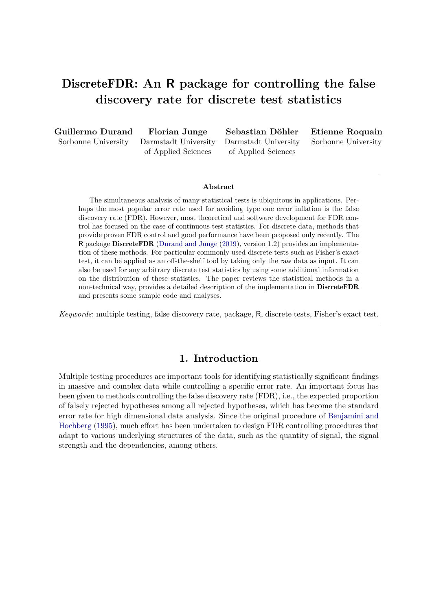# DiscreteFDR**: An R package for controlling the false discovery rate for discrete test statistics**

**Guillermo Durand** Sorbonne University

**Florian Junge** Darmstadt University of Applied Sciences

**Sebastian Döhler** Darmstadt University of Applied Sciences

**Etienne Roquain** Sorbonne University

#### **Abstract**

The simultaneous analysis of many statistical tests is ubiquitous in applications. Perhaps the most popular error rate used for avoiding type one error inflation is the false discovery rate (FDR). However, most theoretical and software development for FDR control has focused on the case of continuous test statistics. For discrete data, methods that provide proven FDR control and good performance have been proposed only recently. The R package DiscreteFDR (Durand and Junge (2019), version 1.2) provides an implementation of these methods. For particular commonly used discrete tests such as Fisher's exact test, it can be applied as an off-the-shelf tool by taking only the raw data as input. It can also be used for any arbitrary discrete test statistics by using some additional information on the distribution of these statistics. The paper reviews the statistical methods in a non-technical way, provides a detailed description of the implementation in DiscreteFDR and presents some sample code and analyses.

*Keywords*: multiple testing, false discovery rate, package, R, discrete tests, Fisher's exact test.

### **1. Introduction**

Multiple testing procedures are important tools for identifying statistically significant findings in massive and complex data while controlling a specific error rate. An important focus has been given to methods controlling the false discovery rate (FDR), i.e., the expected proportion of falsely rejected hypotheses among all rejected hypotheses, which has become the standard error rate for high dimensional data analysis. Since the original procedure of Benjamini and Hochberg (1995), much effort has been undertaken to design FDR controlling procedures that adapt to various underlying structures of the data, such as the quantity of signal, the signal strength and the dependencies, among others.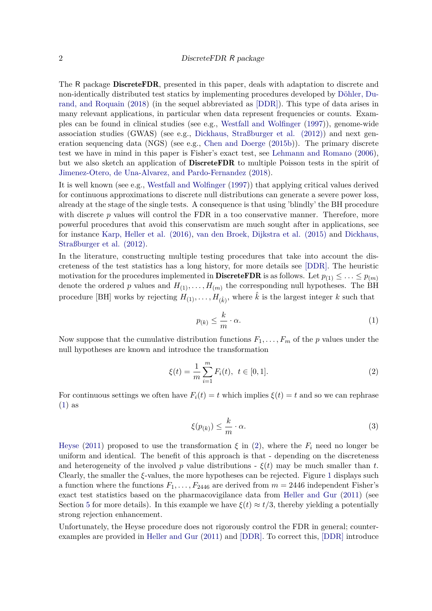The R package **DiscreteFDR**, presented in this paper, deals with adaptation to discrete and non-identically distributed test statics by implementing procedures developed by Döhler, Durand, and Roquain (2018) (in the sequel abbreviated as [DDR]). This type of data arises in many relevant applications, in particular when data represent frequencies or counts. Examples can be found in clinical studies (see e.g., Westfall and Wolfinger (1997)), genome-wide association studies (GWAS) (see e.g., Dickhaus, Straßburger et al. (2012)) and next generation sequencing data (NGS) (see e.g., Chen and Doerge (2015b)). The primary discrete test we have in mind in this paper is Fisher's exact test, see Lehmann and Romano (2006), but we also sketch an application of DiscreteFDR to multiple Poisson tests in the spirit of Jimenez-Otero, de Una-Alvarez, and Pardo-Fernandez (2018).

It is well known (see e.g., Westfall and Wolfinger (1997)) that applying critical values derived for continuous approximations to discrete null distributions can generate a severe power loss, already at the stage of the single tests. A consequence is that using 'blindly' the BH procedure with discrete p values will control the FDR in a too conservative manner. Therefore, more powerful procedures that avoid this conservatism are much sought after in applications, see for instance Karp, Heller et al. (2016), van den Broek, Dijkstra et al. (2015) and Dickhaus, Straßburger et al. (2012).

In the literature, constructing multiple testing procedures that take into account the discreteness of the test statistics has a long history, for more details see [DDR]. The heuristic motivation for the procedures implemented in **DiscreteFDR** is as follows. Let  $p_{(1)} \leq \ldots \leq p_{(m)}$ denote the ordered *p* values and  $H_{(1)}, \ldots, H_{(m)}$  the corresponding null hypotheses. The BH procedure [BH] works by rejecting  $H_{(1)}, \ldots, H_{(\hat{k})}$ , where  $\hat{k}$  is the largest integer  $k$  such that

$$
p_{(k)} \le \frac{k}{m} \cdot \alpha. \tag{1}
$$

Now suppose that the cumulative distribution functions  $F_1, \ldots, F_m$  of the *p* values under the null hypotheses are known and introduce the transformation

$$
\xi(t) = \frac{1}{m} \sum_{i=1}^{m} F_i(t), \ t \in [0, 1].
$$
 (2)

For continuous settings we often have  $F_i(t) = t$  which implies  $\xi(t) = t$  and so we can rephrase (1) as

$$
\xi(p_{(k)}) \le \frac{k}{m} \cdot \alpha. \tag{3}
$$

Heyse (2011) proposed to use the transformation  $\xi$  in (2), where the  $F_i$  need no longer be uniform and identical. The benefit of this approach is that - depending on the discreteness and heterogeneity of the involved *p* value distributions -  $\xi(t)$  may be much smaller than *t*. Clearly, the smaller the *ξ*-values, the more hypotheses can be rejected. Figure 1 displays such a function where the functions  $F_1, \ldots, F_{2446}$  are derived from  $m = 2446$  independent Fisher's exact test statistics based on the pharmacovigilance data from Heller and Gur (2011) (see Section 5 for more details). In this example we have  $\xi(t) \approx t/3$ , thereby yielding a potentially strong rejection enhancement.

Unfortunately, the Heyse procedure does not rigorously control the FDR in general; counterexamples are provided in Heller and Gur (2011) and [DDR]. To correct this, [DDR] introduce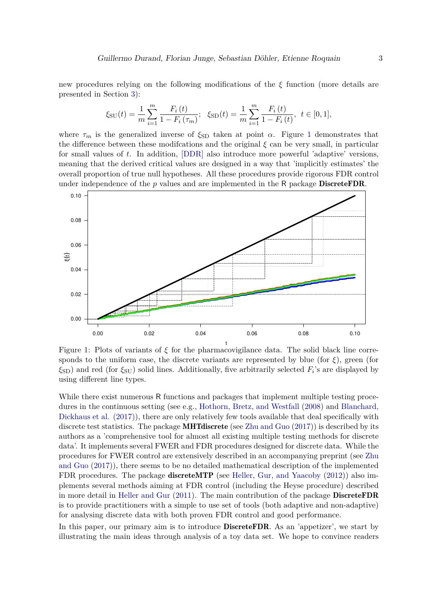new procedures relying on the following modifications of the *ξ* function (more details are presented in Section 3):

$$
\xi_{\rm SU}(t) = \frac{1}{m} \sum_{i=1}^{m} \frac{F_i(t)}{1 - F_i(\tau_m)}; \quad \xi_{\rm SD}(t) = \frac{1}{m} \sum_{i=1}^{m} \frac{F_i(t)}{1 - F_i(t)}, \quad t \in [0, 1],
$$

where  $\tau_m$  is the generalized inverse of  $\xi_{SD}$  taken at point  $\alpha$ . Figure 1 demonstrates that the difference between these modifcations and the original *ξ* can be very small, in particular for small values of *t*. In addition, [DDR] also introduce more powerful 'adaptive' versions, meaning that the derived critical values are designed in a way that 'implicitly estimates' the overall proportion of true null hypotheses. All these procedures provide rigorous FDR control under independence of the *p* values and are implemented in the R package DiscreteFDR.



Figure 1: Plots of variants of *ξ* for the pharmacovigilance data. The solid black line corresponds to the uniform case, the discrete variants are represented by blue (for  $\xi$ ), green (for *ξ*SD) and red (for *ξ*SU) solid lines. Additionally, five arbitrarily selected *F<sup>i</sup>* 's are displayed by using different line types.

t

While there exist numerous R functions and packages that implement multiple testing procedures in the continuous setting (see e.g., Hothorn, Bretz, and Westfall (2008) and Blanchard, Dickhaus et al. (2017)), there are only relatively few tools available that deal specifically with discrete test statistics. The package **MHTdiscrete** (see Zhu and Guo  $(2017)$ ) is described by its authors as a 'comprehensive tool for almost all existing multiple testing methods for discrete data'. It implements several FWER and FDR procedures designed for discrete data. While the procedures for FWER control are extensively described in an accompanying preprint (see Zhu and Guo (2017)), there seems to be no detailed mathematical description of the implemented FDR procedures. The package **discreteMTP** (see Heller, Gur, and Yaacoby (2012)) also implements several methods aiming at FDR control (including the Heyse procedure) described in more detail in Heller and Gur (2011). The main contribution of the package DiscreteFDR is to provide practitioners with a simple to use set of tools (both adaptive and non-adaptive) for analysing discrete data with both proven FDR control and good performance.

In this paper, our primary aim is to introduce **DiscreteFDR**. As an 'appetizer', we start by illustrating the main ideas through analysis of a toy data set. We hope to convince readers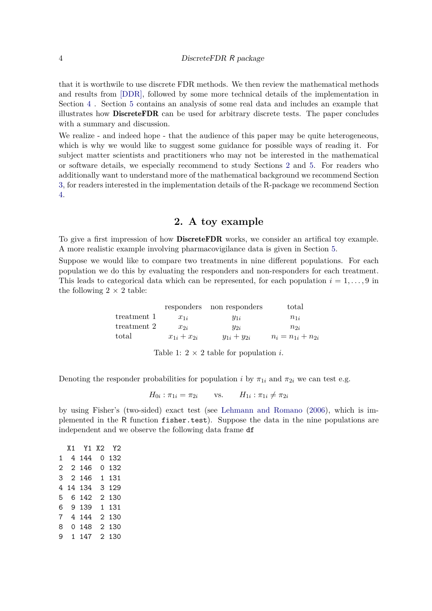that it is worthwile to use discrete FDR methods. We then review the mathematical methods and results from [DDR], followed by some more technical details of the implementation in Section 4 . Section 5 contains an analysis of some real data and includes an example that illustrates how DiscreteFDR can be used for arbitrary discrete tests. The paper concludes with a summary and discussion.

We realize - and indeed hope - that the audience of this paper may be quite heterogeneous, which is why we would like to suggest some guidance for possible ways of reading it. For subject matter scientists and practitioners who may not be interested in the mathematical or software details, we especially recommend to study Sections 2 and 5. For readers who additionally want to understand more of the mathematical background we recommend Section 3, for readers interested in the implementation details of the R-package we recommend Section 4.

### **2. A toy example**

To give a first impression of how **DiscreteFDR** works, we consider an artifical toy example. A more realistic example involving pharmacovigilance data is given in Section 5.

Suppose we would like to compare two treatments in nine different populations. For each population we do this by evaluating the responders and non-responders for each treatment. This leads to categorical data which can be represented, for each population  $i = 1, \ldots, 9$  in the following  $2 \times 2$  table:

|             |                   | responders non responders | total                   |
|-------------|-------------------|---------------------------|-------------------------|
| treatment 1 | $x_{1i}$          | $y_{1i}$                  | $n_{1i}$                |
| treatment 2 | $x_{2i}$          | $y_{2i}$                  | $n_{2i}$                |
| total       | $x_{1i} + x_{2i}$ | $y_{1i} + y_{2i}$         | $n_i = n_{1i} + n_{2i}$ |

Table 1:  $2 \times 2$  table for population *i*.

Denoting the responder probabilities for population *i* by  $\pi_{1i}$  and  $\pi_{2i}$  we can test e.g.

 $H_{0i}$ :  $\pi_{1i} = \pi_{2i}$  vs.  $H_{1i}$ :  $\pi_{1i} \neq \pi_{2i}$ 

by using Fisher's (two-sided) exact test (see Lehmann and Romano (2006), which is implemented in the R function fisher.test). Suppose the data in the nine populations are independent and we observe the following data frame df

|   | X1 Y1 X2 Y2 |         |
|---|-------------|---------|
|   | 1 4 144     | 0132    |
|   | 2 2 146     | 0132    |
|   | 3 2 1 4 6   | 1 131   |
| 4 | 14 134      | 3 1 2 9 |
| 5 | 6 142       | 2 130   |
|   | 6 9 139     | 1 131   |
| 7 | 4 144       | 2 130   |
| 8 | 0.148       | 2 130   |
| 9 | 1 1 4 7     | 2 130   |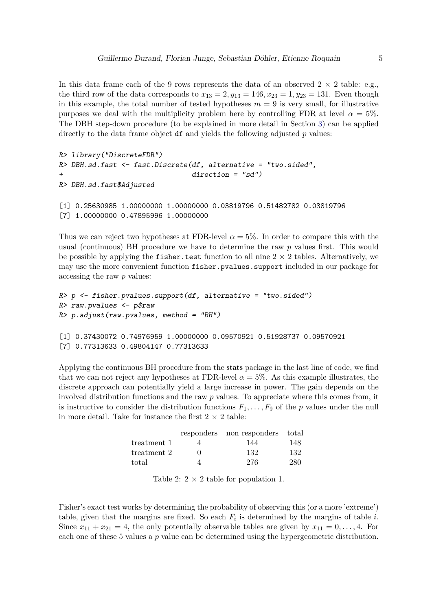In this data frame each of the 9 rows represents the data of an observed  $2 \times 2$  table: e.g., the third row of the data corresponds to  $x_{13} = 2, y_{13} = 146, x_{23} = 1, y_{23} = 131$ . Even though in this example, the total number of tested hypotheses  $m = 9$  is very small, for illustrative purposes we deal with the multiplicity problem here by controlling FDR at level  $\alpha = 5\%$ . The DBH step-down procedure (to be explained in more detail in Section 3) can be applied directly to the data frame object df and yields the following adjusted *p* values:

```
R> library("DiscreteFDR")
R> DBH.sd.fast <- fast.Discrete(df, alternative = "two.sided",
+ direction = "sd")
R> DBH.sd.fast$Adjusted
[1] 0.25630985 1.00000000 1.00000000 0.03819796 0.51482782 0.03819796
[7] 1.00000000 0.47895996 1.00000000
```
Thus we can reject two hypotheses at FDR-level  $\alpha = 5\%$ . In order to compare this with the usual (continuous) BH procedure we have to determine the raw *p* values first. This would be possible by applying the fisher.test function to all nine  $2 \times 2$  tables. Alternatively, we may use the more convenient function fisher.pvalues.support included in our package for accessing the raw *p* values:

```
R> p <- fisher.pvalues.support(df, alternative = "two.sided")
R> raw.pvalues <- p$raw
R> p.adjust(raw.pvalues, method = "BH")
[1] 0.37430072 0.74976959 1.00000000 0.09570921 0.51928737 0.09570921
[7] 0.77313633 0.49804147 0.77313633
```
Applying the continuous BH procedure from the stats package in the last line of code, we find that we can not reject any hypotheses at FDR-level  $\alpha = 5\%$ . As this example illustrates, the discrete approach can potentially yield a large increase in power. The gain depends on the involved distribution functions and the raw *p* values. To appreciate where this comes from, it is instructive to consider the distribution functions  $F_1, \ldots, F_9$  of the *p* values under the null in more detail. Take for instance the first  $2 \times 2$  table:

|             | responders non responders total |     |
|-------------|---------------------------------|-----|
| treatment 1 | 144                             | 148 |
| treatment 2 | 132                             | 132 |
| total       | 276                             | 280 |

Table 2:  $2 \times 2$  table for population 1.

Fisher's exact test works by determining the probability of observing this (or a more 'extreme') table, given that the margins are fixed. So each  $F_i$  is determined by the margins of table *i*. Since  $x_{11} + x_{21} = 4$ , the only potentially observable tables are given by  $x_{11} = 0, \ldots, 4$ . For each one of these 5 values a *p* value can be determined using the hypergeometric distribution.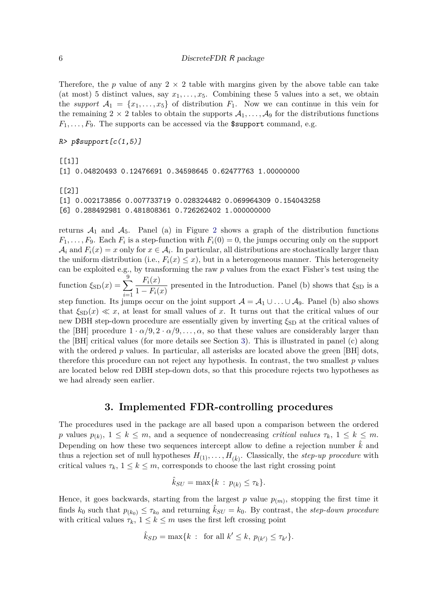Therefore, the *p* value of any  $2 \times 2$  table with margins given by the above table can take (at most) 5 distinct values, say  $x_1, \ldots, x_5$ . Combining these 5 values into a set, we obtain the *support*  $A_1 = \{x_1, \ldots, x_5\}$  of distribution  $F_1$ . Now we can continue in this vein for the remaining  $2 \times 2$  tables to obtain the supports  $A_1, \ldots, A_9$  for the distributions functions  $F_1, \ldots, F_9$ . The supports can be accessed via the **\$support** command, e.g.

```
R> p$support[c(1,5)]
```
 $[1]$ ] [1] 0.04820493 0.12476691 0.34598645 0.62477763 1.00000000 [[2]] [1] 0.002173856 0.007733719 0.028324482 0.069964309 0.154043258

[6] 0.288492981 0.481808361 0.726262402 1.000000000

returns  $A_1$  and  $A_5$ . Panel (a) in Figure 2 shows a graph of the distribution functions  $F_1, \ldots, F_9$ . Each  $F_i$  is a step-function with  $F_i(0) = 0$ , the jumps occuring only on the support  $A_i$  and  $F_i(x) = x$  only for  $x \in A_i$ . In particular, all distributions are stochastically larger than the uniform distribution (i.e.,  $F_i(x) \leq x$ ), but in a heterogeneous manner. This heterogeneity can be exploited e.g., by transforming the raw *p* values from the exact Fisher's test using the function  $\xi_{\text{SD}}(x) = \sum_{n=1}^{9}$ *i*=1 *Fi*(*x*)  $\frac{1}{1 - F_i(x)}$  presented in the Introduction. Panel (b) shows that  $\xi_{SD}$  is a step function. Its jumps occur on the joint support  $\mathcal{A} = \mathcal{A}_1 \cup \ldots \cup \mathcal{A}_9$ . Panel (b) also shows

that  $\xi_{\text{SD}}(x) \ll x$ , at least for small values of x. It turns out that the critical values of our new DBH step-down procedure are essentially given by inverting  $\xi_{SD}$  at the critical values of the [BH] procedure  $1 \cdot \alpha/9$ ,  $2 \cdot \alpha/9$ , ...,  $\alpha$ , so that these values are considerably larger than the [BH] critical values (for more details see Section 3). This is illustrated in panel (c) along with the ordered *p* values. In particular, all asterisks are located above the green [BH] dots, therefore this procedure can not reject any hypothesis. In contrast, the two smallest *p* values are located below red DBH step-down dots, so that this procedure rejects two hypotheses as we had already seen earlier.

### **3. Implemented FDR-controlling procedures**

The procedures used in the package are all based upon a comparison between the ordered *p* values  $p_{(k)}$ ,  $1 \leq k \leq m$ , and a sequence of nondecreasing *critical values*  $\tau_k$ ,  $1 \leq k \leq m$ . Depending on how these two sequences intercept allow to define a rejection number  $\hat{k}$  and thus a rejection set of null hypotheses  $H_{(1)}, \ldots, H_{(\hat{k})}$ . Classically, the *step-up procedure* with critical values  $\tau_k$ ,  $1 \leq k \leq m$ , corresponds to choose the last right crossing point

$$
\hat{k}_{SU} = \max\{k \,:\, p_{(k)} \leq \tau_k\}.
$$

Hence, it goes backwards, starting from the largest  $p$  value  $p_{(m)}$ , stopping the first time it finds  $k_0$  such that  $p_{(k_0)} \leq \tau_{k_0}$  and returning  $\hat{k}_{SU} = k_0$ . By contrast, the *step-down procedure* with critical values  $\tau_k$ ,  $1 \leq k \leq m$  uses the first left crossing point

$$
\hat{k}_{SD} = \max\{k : \text{ for all } k' \le k, p_{(k')} \le \tau_{k'}\}.
$$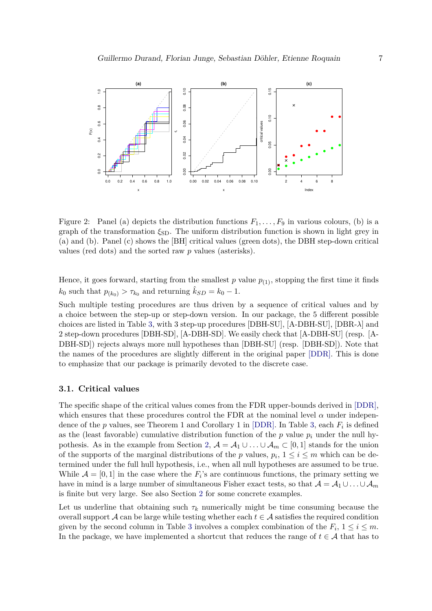

Figure 2: Panel (a) depicts the distribution functions  $F_1, \ldots, F_9$  in various colours, (b) is a graph of the transformation  $\xi_{SD}$ . The uniform distribution function is shown in light grey in (a) and (b). Panel (c) shows the [BH] critical values (green dots), the DBH step-down critical values (red dots) and the sorted raw *p* values (asterisks).

Hence, it goes forward, starting from the smallest  $p$  value  $p_{(1)}$ , stopping the first time it finds  $k_0$  such that  $p_{(k_0)} > \tau_{k_0}$  and returning  $\hat{k}_{SD} = k_0 - 1$ .

Such multiple testing procedures are thus driven by a sequence of critical values and by a choice between the step-up or step-down version. In our package, the 5 different possible choices are listed in Table 3, with 3 step-up procedures [DBH-SU], [A-DBH-SU], [DBR-*λ*] and 2 step-down procedures [DBH-SD], [A-DBH-SD]. We easily check that [A-DBH-SU] (resp. [A-DBH-SD]) rejects always more null hypotheses than [DBH-SU] (resp. [DBH-SD]). Note that the names of the procedures are slightly different in the original paper [DDR]. This is done to emphasize that our package is primarily devoted to the discrete case.

#### **3.1. Critical values**

The specific shape of the critical values comes from the FDR upper-bounds derived in [DDR], which ensures that these procedures control the FDR at the nominal level  $\alpha$  under independence of the *p* values, see Theorem 1 and Corollary 1 in [DDR]. In Table 3, each *F<sup>i</sup>* is defined as the (least favorable) cumulative distribution function of the  $p$  value  $p_i$  under the null hypothesis. As in the example from Section 2,  $\mathcal{A} = \mathcal{A}_1 \cup \ldots \cup \mathcal{A}_m \subset [0,1]$  stands for the union of the supports of the marginal distributions of the *p* values,  $p_i$ ,  $1 \leq i \leq m$  which can be determined under the full hull hypothesis, i.e., when all null hypotheses are assumed to be true. While  $\mathcal{A} = [0, 1]$  in the case where the  $F_i$ 's are continuous functions, the primary setting we have in mind is a large number of simultaneous Fisher exact tests, so that  $A = A_1 \cup ... \cup A_m$ is finite but very large. See also Section 2 for some concrete examples.

Let us underline that obtaining such  $\tau_k$  numerically might be time consuming because the overall support  $\mathcal A$  can be large while testing whether each  $t \in \mathcal A$  satisfies the required condition given by the second column in Table 3 involves a complex combination of the  $F_i$ ,  $1 \le i \le m$ . In the package, we have implemented a shortcut that reduces the range of  $t \in A$  that has to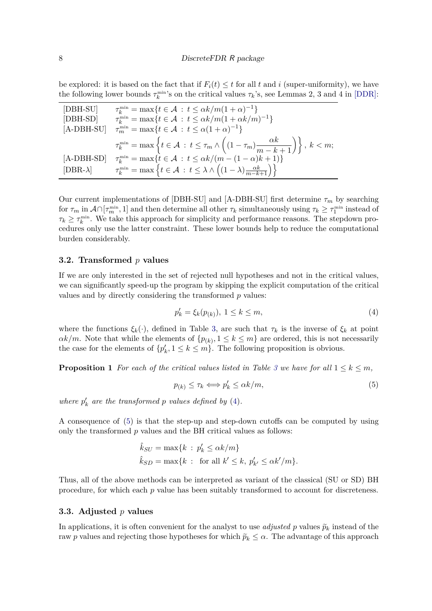be explored: it is based on the fact that if  $F_i(t) \leq t$  for all t and i (super-uniformity), we have the following lower bounds  $\tau_k^{\min}$ 's on the critical values  $\tau_k$ 's, see Lemmas 2, 3 and 4 in [DDR]:

| [DBH-SU]        | $\tau_k^{\min} = \max\{t \in \mathcal{A} : t \leq \alpha k/m(1+\alpha)^{-1}\}\$                                                                 |
|-----------------|-------------------------------------------------------------------------------------------------------------------------------------------------|
| [DBH-SD]        | $\tau_k^{\min} = \max\{t \in \mathcal{A} : t \leq \alpha k/m(1 + \alpha k/m)^{-1}\}\$                                                           |
| $[A-DBH-SU]$    | $\tau_m^{\min} = \max\{t \in \mathcal{A} : t \leq \alpha(1+\alpha)^{-1}\}\$                                                                     |
|                 | $\tau_k^{\min} = \max \left\{ t \in \mathcal{A} : t \leq \tau_m \wedge \left( (1 - \tau_m) \frac{\alpha k}{m - k + 1} \right) \right\}, k < m;$ |
| $[A-DBH-SD]$    | $\tau_k^{\min} = \max\{t \in \mathcal{A} : t \leq \alpha k/(m - (1 - \alpha)k + 1)\}\$                                                          |
| $[DBR-\lambda]$ | $\tau_k^{\min} = \max \left\{ t \in \mathcal{A} : t \leq \lambda \wedge \left( (1-\lambda) \frac{\alpha k}{m-k+1} \right) \right\}$             |

Our current implementations of [DBH-SU] and [A-DBH-SU] first determine  $\tau_m$  by searching for  $\tau_m$  in  $\mathcal{A} \cap [\tau_m^{\min}, 1]$  and then determine all other  $\tau_k$  simultaneously using  $\tau_k \geq \tau_1^{\min}$  instead of  $\tau_k \geq \tau_k^{\text{min}}$ . We take this approach for simplicity and performance reasons. The stepdown procedures only use the latter constraint. These lower bounds help to reduce the computational burden considerably.

#### **3.2. Transformed** *p* **values**

If we are only interested in the set of rejected null hypotheses and not in the critical values, we can significantly speed-up the program by skipping the explicit computation of the critical values and by directly considering the transformed *p* values:

$$
p'_k = \xi_k(p_{(k)}), \ 1 \le k \le m,
$$
\n(4)

where the functions  $\xi_k(\cdot)$ , defined in Table 3, are such that  $\tau_k$  is the inverse of  $\xi_k$  at point  $\alpha k/m$ . Note that while the elements of  $\{p_{(k)}, 1 \leq k \leq m\}$  are ordered, this is not necessarily the case for the elements of  $\{p'_{i}\}$  $k \leq k \leq m$ . The following proposition is obvious.

**Proposition 1** For each of the critical values listed in Table 3 we have for all  $1 \leq k \leq m$ ,

$$
p_{(k)} \le \tau_k \Longleftrightarrow p'_k \le \alpha k/m,\tag{5}
$$

*where*  $p'_l$  $\frac{1}{k}$  are the transformed p values defined by (4).

A consequence of (5) is that the step-up and step-down cutoffs can be computed by using only the transformed *p* values and the BH critical values as follows:

$$
\hat{k}_{SU} = \max\{k \,:\, p'_k \le \alpha k/m\}
$$
  

$$
\hat{k}_{SD} = \max\{k \,:\, \text{ for all } k' \le k, \, p'_{k'} \le \alpha k'/m\}.
$$

Thus, all of the above methods can be interpreted as variant of the classical (SU or SD) BH procedure, for which each *p* value has been suitably transformed to account for discreteness.

#### **3.3. Adjusted** *p* **values**

In applications, it is often convenient for the analyst to use *adjusted* p values  $\tilde{p}_k$  instead of the raw *p* values and rejecting those hypotheses for which  $\tilde{p}_k \leq \alpha$ . The advantage of this approach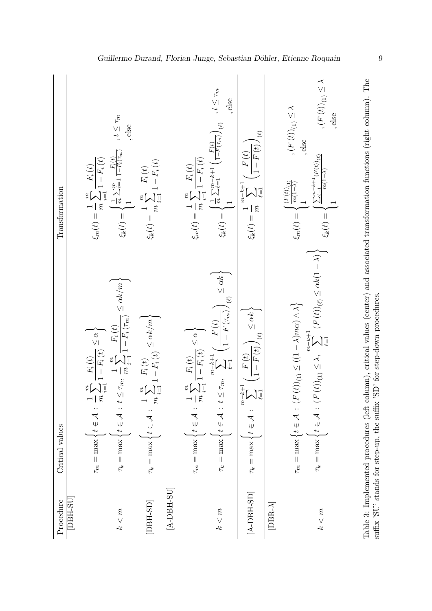| Procedure       | Critical values                                                                                                                                                                                                                                                                                                                         | Transformation                                                                                                                                                                                                                                                                                                           |
|-----------------|-----------------------------------------------------------------------------------------------------------------------------------------------------------------------------------------------------------------------------------------------------------------------------------------------------------------------------------------|--------------------------------------------------------------------------------------------------------------------------------------------------------------------------------------------------------------------------------------------------------------------------------------------------------------------------|
| DBH-SU          |                                                                                                                                                                                                                                                                                                                                         |                                                                                                                                                                                                                                                                                                                          |
|                 | $\frac{1}{m}\sum_{i=1}^m \frac{F_i\left(t\right)}{1-F_i\left(t\right)} \leq \alpha \Biggr\}$<br>$t\in \mathcal{A}$<br>$\tau_m = \max$                                                                                                                                                                                                   | $\xi_m(t) = \frac{1}{m} \sum_{i=1}^m \frac{F_i(t)}{1 - F_i(t)}$                                                                                                                                                                                                                                                          |
| k < m           | $\leq \tau_m,\ \frac{1}{m}\sum_{i=1}^m\frac{F_i\left(t\right)}{1-F_i\left(\tau_m\right)}\leq \alpha k/m\bigg\}$<br>$t\in\mathcal{A}$<br>$\tau_k = \max$                                                                                                                                                                                 | , $t\leq \tau_m$<br>, else<br>$\xi_k(t) = \begin{cases} \frac{1}{m} \sum_{i=1}^m \frac{F_i(t)}{1-F_i(\tau_m)} \\ 1 \end{cases}$                                                                                                                                                                                          |
| $[DBH-SD]$      | $\sum_{i=1}^m \frac{F_i\left(t\right)}{1-F_i\left(t\right)} \leq \alpha k/m\bigg\}$<br>$\widetilde{n}$<br>$\tau_k = \max \left\{ t \in \mathcal{A} \right\}$                                                                                                                                                                            | $\xi_k(t) = \frac{1}{m}\sum_{i=1}^m \frac{F_i\left(t\right)}{1-F_i\left(t\right)}$                                                                                                                                                                                                                                       |
| $[A-DBH-SU]$    |                                                                                                                                                                                                                                                                                                                                         |                                                                                                                                                                                                                                                                                                                          |
|                 | $\frac{1}{m}\sum_{i=1}^m\frac{F_i\left(t\right)}{1-F_i\left(t\right)}\leq\alpha\bigg\}$<br>$t\in \mathcal{A}$<br>$\tau_m = \max$                                                                                                                                                                                                        | $\xi_m(t) = \frac{1}{m} \sum_{i=1}^m \frac{F_i(t)}{1 - F_i(t)}$                                                                                                                                                                                                                                                          |
| k < m           | $\left(\frac{F\left(t\right)}{1-F\left(\tau_{m}\right)}\right)_{\left(\ell\right)}\leq\alpha k\bigg\}$<br>$t \leq \tau_m, \sum_{\ell=1}^{m-k+1} \Big($<br>$t\in \mathcal{A}$<br>$\tau_k = \max$                                                                                                                                         | $\xi_k(t) = \begin{cases} \frac{1}{m} \sum_{\ell=1}^{m-k+1} \left( \frac{F(t)}{1-F(\tau_m)} \right)_{(\ell)} & , t \leq \tau_m \\ 1 & \end{cases}$                                                                                                                                                                       |
| $[A-DBH-SD]$    | $\left(\frac{F\left(t\right)}{1-F\left(t\right)}\right)_{\left(\ell\right)}\leq\alpha k\bigg\}$<br>$\sum_{\ell=1}^{m-k+1}$<br>$\tau_k = \max \big\{ t \in \mathcal{A}$                                                                                                                                                                  | $\mathcal{L}$<br>$\sqrt{1-F(t)}$<br>$-F(t)$<br>$\xi_k(t) = \frac{1}{m} \sum_{\ell=1}^{m-k+1} ($                                                                                                                                                                                                                          |
| $[DBR-\lambda]$ |                                                                                                                                                                                                                                                                                                                                         |                                                                                                                                                                                                                                                                                                                          |
| k < m           | $\begin{cases} t\in \mathcal{A} \,:\, (F\left(t\right))_{(1)} \leq \lambda, & \sum\limits_{\ell=1}^{m-k+1} \left(F\left(t\right)\right)_{(\ell)} \leq \alpha k (1-\lambda) \end{cases}$<br>$(F\left( t\right))_{(1)}\leq ((1-\lambda) m\alpha)\wedge \lambda \Big\}$<br>$\tau_m = \max \big\{ t \in \mathcal{A} : 0$<br>$\tau_k = \max$ | , $(F\left(t\right))_{(1)}\leq\lambda$<br>, $(F\left( t\right) )_{\left( 1\right) }\leq \lambda$<br>, else<br>, else<br>$\sum_{\ell=1}^{m-k+1}(F(t))_{(\ell)}$<br>$\frac{m(1-\lambda)}{m}$<br>$\left\{ \begin{matrix} (F(t))_{(1)} \\ m(1-\lambda) \\ 1 \end{matrix} \right.$<br>$\xi_m(t)=\Big\{$<br>$\xi_k(t)=\langle$ |

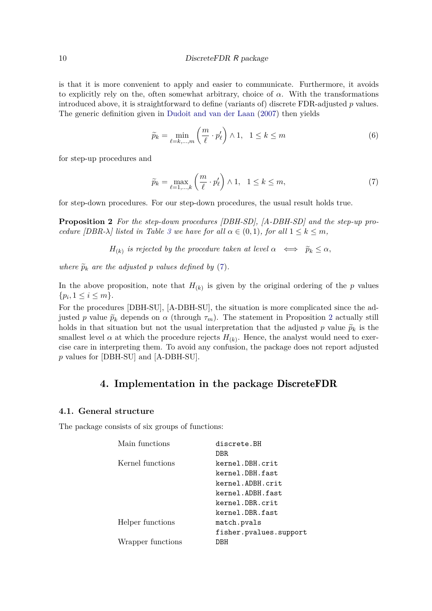is that it is more convenient to apply and easier to communicate. Furthermore, it avoids to explicitly rely on the, often somewhat arbitrary, choice of  $\alpha$ . With the transformations introduced above, it is straightforward to define (variants of) discrete FDR-adjusted *p* values. The generic definition given in Dudoit and van der Laan (2007) then yields

$$
\widetilde{p}_k = \min_{\ell=k,\dots,m} \left(\frac{m}{\ell} \cdot p'_\ell\right) \wedge 1, \quad 1 \le k \le m \tag{6}
$$

for step-up procedures and

$$
\widetilde{p}_k = \max_{\ell=1,\dots,k} \left( \frac{m}{\ell} \cdot p'_\ell \right) \wedge 1, \quad 1 \le k \le m,
$$
\n(7)

for step-down procedures. For our step-down procedures, the usual result holds true.

**Proposition 2** *For the step-down procedures [DBH-SD], [A-DBH-SD] and the step-up procedure [DBR-* $\lambda$ *] listed in Table 3 we have for all*  $\alpha \in (0,1)$ *, for all*  $1 \leq k \leq m$ *,* 

 $H_{(k)}$  *is rejected by the procedure taken at level*  $\alpha \iff \tilde{p}_k \leq \alpha$ ,

*where*  $\widetilde{p}_k$  *are the adjusted p values defined by* (7)*.* 

In the above proposition, note that  $H_{(k)}$  is given by the original ordering of the  $p$  values  $\{p_i, 1 \leq i \leq m\}.$ 

For the procedures [DBH-SU], [A-DBH-SU], the situation is more complicated since the adjusted *p* value  $\tilde{p}_k$  depends on  $\alpha$  (through  $\tau_m$ ). The statement in Proposition 2 actually still holds in that situation but not the usual interpretation that the adjusted p value  $\tilde{p}_k$  is the smallest level  $\alpha$  at which the procedure rejects  $H_{(k)}$ . Hence, the analyst would need to exercise care in interpreting them. To avoid any confusion, the package does not report adjusted *p* values for [DBH-SU] and [A-DBH-SU].

### **4. Implementation in the package** DiscreteFDR

#### **4.1. General structure**

The package consists of six groups of functions:

| Main functions    | discrete.BH            |
|-------------------|------------------------|
|                   | DBR.                   |
| Kernel functions  | kernel.DBH.crit        |
|                   | kernel.DBH.fast        |
|                   | kernel.ADBH.crit       |
|                   | kernel.ADBH.fast       |
|                   | kernel.DBR.crit        |
|                   | kernel.DBR.fast        |
| Helper functions  | match.pvals            |
|                   | fisher.pvalues.support |
| Wrapper functions | DBH                    |
|                   |                        |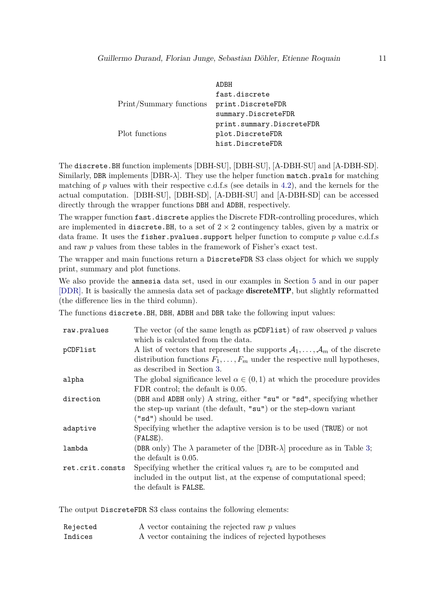|                         | ADBH                      |
|-------------------------|---------------------------|
|                         | fast.discrete             |
| Print/Summary functions | print.DiscreteFDR         |
|                         | summary.DiscreteFDR       |
|                         | print.summary.DiscreteFDR |
| Plot functions          | plot.DiscreteFDR          |
|                         | hist.DiscreteFDR          |

The discrete.BH function implements [DBH-SU], [DBH-SU], [A-DBH-SU] and [A-DBH-SD]. Similarly, DBR implements  $[DBR-\lambda]$ . They use the helper function match.pvals for matching matching of  $p$  values with their respective c.d.f.s (see details in 4.2), and the kernels for the actual computation. [DBH-SU], [DBH-SD], [A-DBH-SU] and [A-DBH-SD] can be accessed directly through the wrapper functions DBH and ADBH, respectively.

The wrapper function fast.discrete applies the Discrete FDR-controlling procedures, which are implemented in discrete. BH, to a set of  $2 \times 2$  contingency tables, given by a matrix or data frame. It uses the fisher.pvalues.support helper function to compute *p* value c.d.f.s and raw *p* values from these tables in the framework of Fisher's exact test.

The wrapper and main functions return a DiscreteFDR S3 class object for which we supply print, summary and plot functions.

We also provide the amnesia data set, used in our examples in Section 5 and in our paper [DDR]. It is basically the amnesia data set of package discreteMTP, but slightly reformatted (the difference lies in the third column).

The functions discrete.BH, DBH, ADBH and DBR take the following input values:

| raw.pvalues     | The vector (of the same length as $pCDFlist$ ) of raw observed p values              |
|-----------------|--------------------------------------------------------------------------------------|
|                 | which is calculated from the data.                                                   |
| pCDFlist        | A list of vectors that represent the supports $A_1, \ldots, A_m$ of the discrete     |
|                 | distribution functions $F_1, \ldots, F_m$ under the respective null hypotheses,      |
|                 | as described in Section 3.                                                           |
| alpha           | The global significance level $\alpha \in (0,1)$ at which the procedure provides     |
|                 | FDR control; the default is 0.05.                                                    |
| direction       | (DBH and ADBH only) A string, either "su" or "sd", specifying whether                |
|                 | the step-up variant (the default, "su") or the step-down variant                     |
|                 | ("sd") should be used.                                                               |
| adaptive        | Specifying whether the adaptive version is to be used (TRUE) or not                  |
|                 | (FALSE).                                                                             |
| lambda          | (DBR only) The $\lambda$ parameter of the [DBR- $\lambda$ ] procedure as in Table 3; |
|                 | the default is 0.05.                                                                 |
| ret.crit.consts | Specifying whether the critical values $\tau_k$ are to be computed and               |
|                 | included in the output list, at the expense of computational speed;                  |
|                 | the default is FALSE.                                                                |
|                 |                                                                                      |

The output DiscreteFDR S3 class contains the following elements:

| Rejected | A vector containing the rejected raw $p$ values        |
|----------|--------------------------------------------------------|
| Indices  | A vector containing the indices of rejected hypotheses |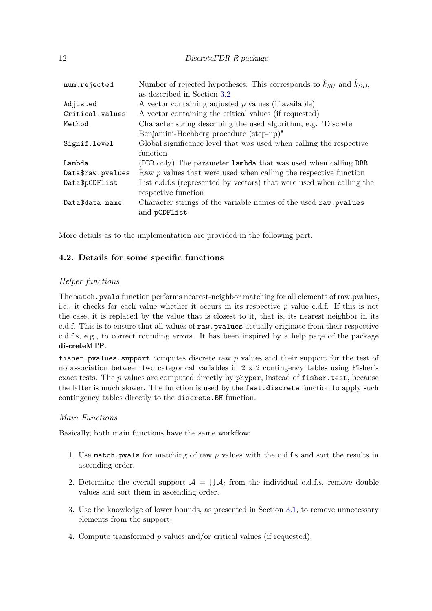12 DiscreteFDR R package

| num.rejected      | Number of rejected hypotheses. This corresponds to $\hat{k}_{SI}$ and $\hat{k}_{SD}$ ,<br>as described in Section 3.2 |
|-------------------|-----------------------------------------------------------------------------------------------------------------------|
| Adjusted          | A vector containing adjusted $p$ values (if available)                                                                |
| Critical.values   | A vector containing the critical values (if requested)                                                                |
| Method            | Character string describing the used algorithm, e.g. "Discrete"                                                       |
|                   | Benjamini-Hochberg procedure (step-up)"                                                                               |
| Signif.level      | Global significance level that was used when calling the respective                                                   |
|                   | function                                                                                                              |
| Lambda            | (DBR only) The parameter lambda that was used when calling DBR                                                        |
| Data\$raw.pvalues | Raw $p$ values that were used when calling the respective function                                                    |
| Data\$pCDFlist    | List c.d.f.s (represented by vectors) that were used when calling the                                                 |
|                   | respective function                                                                                                   |
| Data\$data.name   | Character strings of the variable names of the used raw. pvalues                                                      |
|                   | and pCDFlist                                                                                                          |
|                   |                                                                                                                       |

More details as to the implementation are provided in the following part.

### **4.2. Details for some specific functions**

### *Helper functions*

The match.pvals function performs nearest-neighbor matching for all elements of raw.pvalues, i.e., it checks for each value whether it occurs in its respective *p* value c.d.f. If this is not the case, it is replaced by the value that is closest to it, that is, its nearest neighbor in its c.d.f. This is to ensure that all values of raw.pvalues actually originate from their respective c.d.f.s, e.g., to correct rounding errors. It has been inspired by a help page of the package discreteMTP.

fisher.pvalues.support computes discrete raw *p* values and their support for the test of no association between two categorical variables in 2 x 2 contingency tables using Fisher's exact tests. The *p* values are computed directly by phyper, instead of fisher.test, because the latter is much slower. The function is used by the fast.discrete function to apply such contingency tables directly to the discrete.BH function.

### *Main Functions*

Basically, both main functions have the same workflow:

- 1. Use match.pvals for matching of raw *p* values with the c.d.f.s and sort the results in ascending order.
- 2. Determine the overall support  $A = \bigcup A_i$  from the individual c.d.f.s, remove double values and sort them in ascending order.
- 3. Use the knowledge of lower bounds, as presented in Section 3.1, to remove unnecessary elements from the support.
- 4. Compute transformed *p* values and/or critical values (if requested).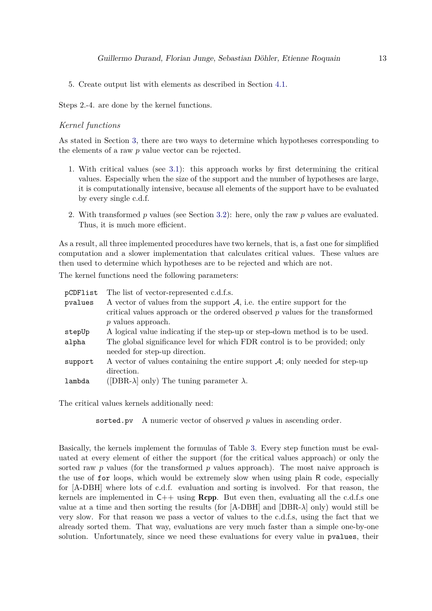5. Create output list with elements as described in Section 4.1.

Steps 2.-4. are done by the kernel functions.

#### *Kernel functions*

As stated in Section 3, there are two ways to determine which hypotheses corresponding to the elements of a raw *p* value vector can be rejected.

- 1. With critical values (see 3.1): this approach works by first determining the critical values. Especially when the size of the support and the number of hypotheses are large, it is computationally intensive, because all elements of the support have to be evaluated by every single c.d.f.
- 2. With transformed *p* values (see Section 3.2): here, only the raw *p* values are evaluated. Thus, it is much more efficient.

As a result, all three implemented procedures have two kernels, that is, a fast one for simplified computation and a slower implementation that calculates critical values. These values are then used to determine which hypotheses are to be rejected and which are not.

The kernel functions need the following parameters:

| pCDFlist | The list of vector-represented c.d.f.s.                                         |
|----------|---------------------------------------------------------------------------------|
| pvalues  | A vector of values from the support $A$ , i.e. the entire support for the       |
|          | critical values approach or the ordered observed $p$ values for the transformed |
|          | $p$ values approach.                                                            |
| stepUp   | A logical value indicating if the step-up or step-down method is to be used.    |
| alpha    | The global significance level for which FDR control is to be provided; only     |
|          | needed for step-up direction.                                                   |
| support  | A vector of values containing the entire support $A$ ; only needed for step-up  |
|          | direction.                                                                      |
| lambda   | ([DBR- $\lambda$ ] only) The tuning parameter $\lambda$ .                       |

The critical values kernels additionally need:

sorted.pv A numeric vector of observed *p* values in ascending order.

Basically, the kernels implement the formulas of Table 3. Every step function must be evaluated at every element of either the support (for the critical values approach) or only the sorted raw *p* values (for the transformed *p* values approach). The most naive approach is the use of for loops, which would be extremely slow when using plain R code, especially for [A-DBH] where lots of c.d.f. evaluation and sorting is involved. For that reason, the kernels are implemented in  $C_{++}$  using **Rcpp**. But even then, evaluating all the c.d.f.s one value at a time and then sorting the results (for [A-DBH] and [DBR-*λ*] only) would still be very slow. For that reason we pass a vector of values to the c.d.f.s, using the fact that we already sorted them. That way, evaluations are very much faster than a simple one-by-one solution. Unfortunately, since we need these evaluations for every value in pvalues, their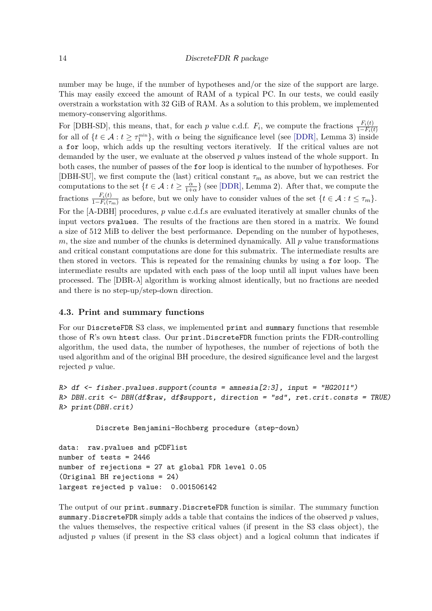number may be huge, if the number of hypotheses and/or the size of the support are large. This may easily exceed the amount of RAM of a typical PC. In our tests, we could easily overstrain a workstation with 32 GiB of RAM. As a solution to this problem, we implemented memory-conserving algorithms.

For [DBH-SD], this means, that, for each *p* value c.d.f.  $F_i$ , we compute the fractions  $\frac{F_i(t)}{1-F_i(t)}$ for all of  $\{t \in \mathcal{A} : t \geq \tau_1^{\min}\}$ , with  $\alpha$  being the significance level (see [DDR], Lemma 3) inside a for loop, which adds up the resulting vectors iteratively. If the critical values are not demanded by the user, we evaluate at the observed *p* values instead of the whole support. In both cases, the number of passes of the for loop is identical to the number of hypotheses. For [DBH-SU], we first compute the (last) critical constant  $\tau_m$  as above, but we can restrict the computations to the set  $\{t \in \mathcal{A} : t \geq \frac{\alpha}{1+t}\}$  $\frac{\alpha}{1+\alpha}$ } (see [DDR], Lemma 2). After that, we compute the fractions  $\frac{F_i(t)}{1-F_i(\tau_m)}$  as before, but we only have to consider values of the set  $\{t \in \mathcal{A} : t \leq \tau_m\}$ . For the [A-DBH] procedures, *p* value c.d.f.s are evaluated iteratively at smaller chunks of the input vectors pvalues. The results of the fractions are then stored in a matrix. We found a size of 512 MiB to deliver the best performance. Depending on the number of hypotheses, *m*, the size and number of the chunks is determined dynamically. All *p* value transformations and critical constant computations are done for this submatrix. The intermediate results are then stored in vectors. This is repeated for the remaining chunks by using a for loop. The intermediate results are updated with each pass of the loop until all input values have been processed. The [DBR-*λ*] algorithm is working almost identically, but no fractions are needed and there is no step-up/step-down direction.

#### **4.3. Print and summary functions**

For our DiscreteFDR S3 class, we implemented print and summary functions that resemble those of R's own htest class. Our print.DiscreteFDR function prints the FDR-controlling algorithm, the used data, the number of hypotheses, the number of rejections of both the used algorithm and of the original BH procedure, the desired significance level and the largest rejected *p* value.

```
R> df <- fisher.pvalues.support(counts = amnesia[2:3], input = "HG2011")
R> DBH.crit <- DBH(df$raw, df$support, direction = "sd", ret.crit.consts = TRUE)
R> print(DBH.crit)
```
Discrete Benjamini-Hochberg procedure (step-down)

```
data: raw.pvalues and pCDFlist
number of tests = 2446
number of rejections = 27 at global FDR level 0.05
(Original BH rejections = 24)
largest rejected p value: 0.001506142
```
The output of our print.summary.DiscreteFDR function is similar. The summary function summary.DiscreteFDR simply adds a table that contains the indices of the observed *p* values, the values themselves, the respective critical values (if present in the S3 class object), the adjusted *p* values (if present in the S3 class object) and a logical column that indicates if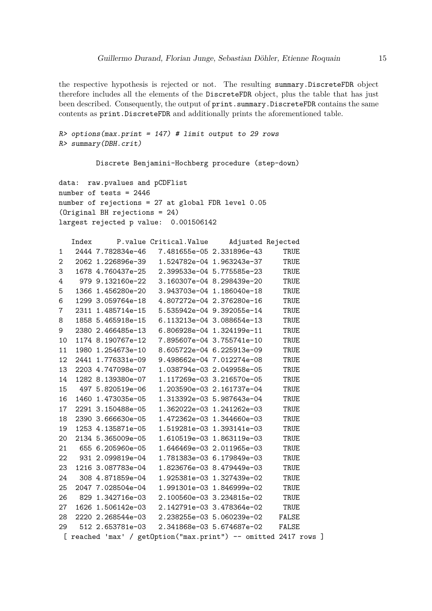the respective hypothesis is rejected or not. The resulting summary.DiscreteFDR object therefore includes all the elements of the DiscreteFDR object, plus the table that has just been described. Consequently, the output of print.summary.DiscreteFDR contains the same contents as print.DiscreteFDR and additionally prints the aforementioned table.

```
R> options(max.print = 147) # limit output to 29 rows
R> summary(DBH.crit)
```
Discrete Benjamini-Hochberg procedure (step-down)

data: raw.pvalues and pCDFlist number of tests = 2446 number of rejections = 27 at global FDR level 0.05 (Original BH rejections = 24) largest rejected p value: 0.001506142

|                |  | Index P. value Critical. Value Adjusted Rejected                |      |
|----------------|--|-----------------------------------------------------------------|------|
| 1              |  | 2444 7.782834e-46 7.481655e-05 2.331896e-43 TRUE                |      |
| $\overline{2}$ |  | 2062 1.226896e-39  1.524782e-04 1.963243e-37  TRUE              |      |
| 3              |  | 1678  4.760437e-25  2.399533e-04  5.775585e-23  TRUE            |      |
| 4              |  | 979 9.132160e-22 3.160307e-04 8.298439e-20                      | TRUE |
| 5              |  | 1366 1.456280e-20 3.943703e-04 1.186040e-18 TRUE                |      |
| 6              |  | 1299 3.059764e-18 4.807272e-04 2.376280e-16 TRUE                |      |
| $7\phantom{.}$ |  | 2311 1.485714e-15  5.535942e-04 9.392055e-14                    | TRUE |
| 8              |  | 1858 5.465918e-15 6.113213e-04 3.088654e-13                     | TRUE |
| 9              |  | 2380 2.466485e-13    6.806928e-04 1.324199e-11                  | TRUE |
| 10             |  | 1174 8.190767e-12 7.895607e-04 3.755741e-10                     | TRUE |
| 11             |  | 1980 1.254673e-10 8.605722e-04 6.225913e-09                     | TRUE |
| 12             |  | 2441 1.776331e-09 9.498662e-04 7.012274e-08                     | TRUE |
| 13             |  | 2203 4.747098e-07  1.038794e-03 2.049958e-05                    | TRUE |
| 14             |  |                                                                 | TRUE |
| 15             |  |                                                                 | TRUE |
| 16             |  | 1460 1.473035e-05  1.313392e-03 5.987643e-04                    | TRUE |
| 17             |  | 2291 3.150488e-05  1.362022e-03 1.241262e-03                    | TRUE |
| 18             |  | 2390 3.666630e-05  1.472362e-03 1.344660e-03                    | TRUE |
| 19             |  | 1253 4.135871e-05    1.519281e-03    1.393141e-03               | TRUE |
| 20             |  | 2134 5.365009e-05  1.610519e-03 1.863119e-03                    | TRUE |
| 21             |  | 655 6.205960e-05    1.646469e-03    2.011965e-03                | TRUE |
| 22             |  |                                                                 | TRUE |
| 23             |  | 1216 3.087783e-04    1.823676e-03 8.479449e-03                  | TRUE |
| 24             |  |                                                                 | TRUE |
| 25             |  | 2047 7.028504e-04  1.991301e-03  1.846999e-02  TRUE             |      |
| 26             |  | 829 1.342716e-03 2.100560e-03 3.234815e-02 TRUE                 |      |
| 27             |  | 1626 1.506142e-03 2.142791e-03 3.478364e-02                     | TRUE |
| 28             |  | 2220 2.268544e-03 2.238255e-03 5.060239e-02 FALSE               |      |
| 29             |  |                                                                 |      |
|                |  | [ reached 'max' / getOption("max.print") -- omitted 2417 rows ] |      |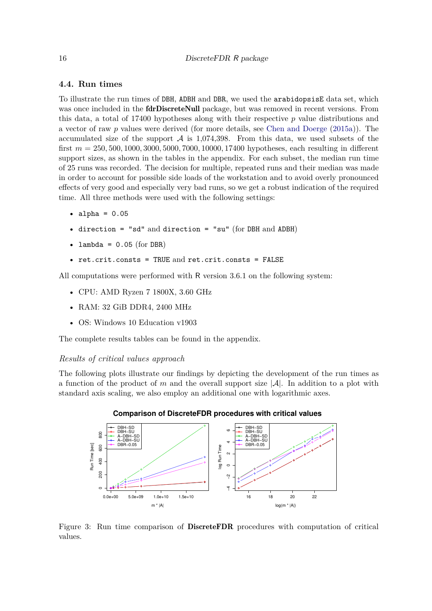#### **4.4. Run times**

To illustrate the run times of DBH, ADBH and DBR, we used the arabidopsisE data set, which was once included in the **fdrDiscreteNull** package, but was removed in recent versions. From this data, a total of 17400 hypotheses along with their respective *p* value distributions and a vector of raw *p* values were derived (for more details, see Chen and Doerge (2015a)). The accumulated size of the support  $A$  is 1,074,398. From this data, we used subsets of the first *m* = 250*,* 500*,* 1000*,* 3000*,* 5000*,* 7000*,* 10000*,* 17400 hypotheses, each resulting in different support sizes, as shown in the tables in the appendix. For each subset, the median run time of 25 runs was recorded. The decision for multiple, repeated runs and their median was made in order to account for possible side loads of the workstation and to avoid overly pronounced effects of very good and especially very bad runs, so we get a robust indication of the required time. All three methods were used with the following settings:

- $\bullet$  alpha =  $0.05$
- direction = "sd" and direction = "su" (for DBH and ADBH)
- lambda =  $0.05$  (for DBR)
- ret.crit.consts = TRUE and ret.crit.consts = FALSE

All computations were performed with R version 3.6.1 on the following system:

- CPU: AMD Ryzen 7 1800X, 3.60 GHz
- RAM: 32 GiB DDR4, 2400 MHz
- OS: Windows 10 Education v1903

The complete results tables can be found in the appendix.

#### *Results of critical values approach*

The following plots illustrate our findings by depicting the development of the run times as a function of the product of *m* and the overall support size  $|\mathcal{A}|$ . In addition to a plot with standard axis scaling, we also employ an additional one with logarithmic axes.





Figure 3: Run time comparison of DiscreteFDR procedures with computation of critical values.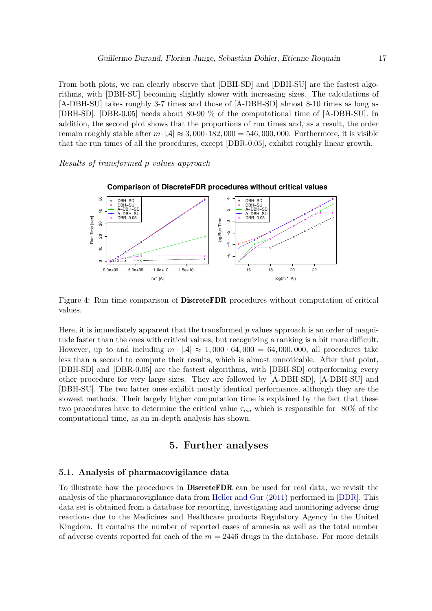From both plots, we can clearly observe that [DBH-SD] and [DBH-SU] are the fastest algorithms, with [DBH-SU] becoming slightly slower with increasing sizes. The calculations of [A-DBH-SU] takes roughly 3-7 times and those of [A-DBH-SD] almost 8-10 times as long as [DBH-SD]. [DBR-0.05] needs about 80-90 % of the computational time of [A-DBH-SU]. In addition, the second plot shows that the proportions of run times and, as a result, the order remain roughly stable after  $m \cdot |A| \approx 3,000 \cdot 182,000 = 546,000,000$ . Furthermore, it is visible that the run times of all the procedures, except [DBR-0.05], exhibit roughly linear growth.

*Results of transformed p values approach*



Figure 4: Run time comparison of DiscreteFDR procedures without computation of critical values.

Here, it is immediately apparent that the transformed *p* values approach is an order of magnitude faster than the ones with critical values, but recognizing a ranking is a bit more difficult. However, up to and including  $m \cdot |\mathcal{A}| \approx 1,000 \cdot 64,000 = 64,000,000$ , all procedures take less than a second to compute their results, which is almost unnoticable. After that point, [DBH-SD] and [DBR-0.05] are the fastest algorithms, with [DBH-SD] outperforming every other procedure for very large sizes. They are followed by [A-DBH-SD], [A-DBH-SU] and [DBH-SU]. The two latter ones exhibit mostly identical performance, although they are the slowest methods. Their largely higher computation time is explained by the fact that these two procedures have to determine the critical value  $\tau_m$ , which is responsible for 80% of the computational time, as an in-depth analysis has shown.

### **5. Further analyses**

#### **5.1. Analysis of pharmacovigilance data**

To illustrate how the procedures in DiscreteFDR can be used for real data, we revisit the analysis of the pharmacovigilance data from Heller and Gur (2011) performed in [DDR]. This data set is obtained from a database for reporting, investigating and monitoring adverse drug reactions due to the Medicines and Healthcare products Regulatory Agency in the United Kingdom. It contains the number of reported cases of amnesia as well as the total number of adverse events reported for each of the  $m = 2446$  drugs in the database. For more details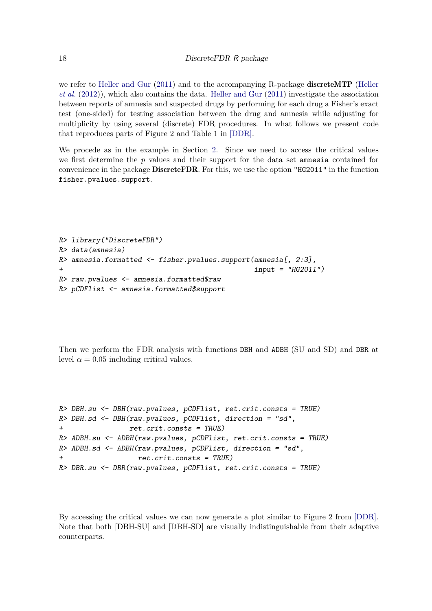we refer to Heller and Gur (2011) and to the accompanying R-package discreteMTP (Heller *et al.* (2012)), which also contains the data. Heller and Gur (2011) investigate the association between reports of amnesia and suspected drugs by performing for each drug a Fisher's exact test (one-sided) for testing association between the drug and amnesia while adjusting for multiplicity by using several (discrete) FDR procedures. In what follows we present code that reproduces parts of Figure 2 and Table 1 in [DDR].

We procede as in the example in Section 2. Since we need to access the critical values we first determine the *p* values and their support for the data set amnesia contained for convenience in the package DiscreteFDR. For this, we use the option "HG2011" in the function fisher.pvalues.support.

```
R> library("DiscreteFDR")
R> data(amnesia)
R> amnesia.formatted <- fisher.pvalues.support(amnesia[, 2:3],
+ input = "HG2011")
R> raw.pvalues <- amnesia.formatted$raw
R> pCDFlist <- amnesia.formatted$support
```
Then we perform the FDR analysis with functions DBH and ADBH (SU and SD) and DBR at level  $\alpha = 0.05$  including critical values.

```
R> DBH.su <- DBH(raw.pvalues, pCDFlist, ret.crit.consts = TRUE)
R> DBH.sd <- DBH(raw.pvalues, pCDFlist, direction = "sd",
+ ret.crit.consts = TRUE)
R> ADBH.su <- ADBH(raw.pvalues, pCDFlist, ret.crit.consts = TRUE)
R> ADBH.sd <- ADBH(raw.pvalues, pCDFlist, direction = "sd",
+ ret.crit.consts = TRUE)
R> DBR.su <- DBR(raw.pvalues, pCDFlist, ret.crit.consts = TRUE)
```
By accessing the critical values we can now generate a plot similar to Figure 2 from [DDR]. Note that both [DBH-SU] and [DBH-SD] are visually indistinguishable from their adaptive counterparts.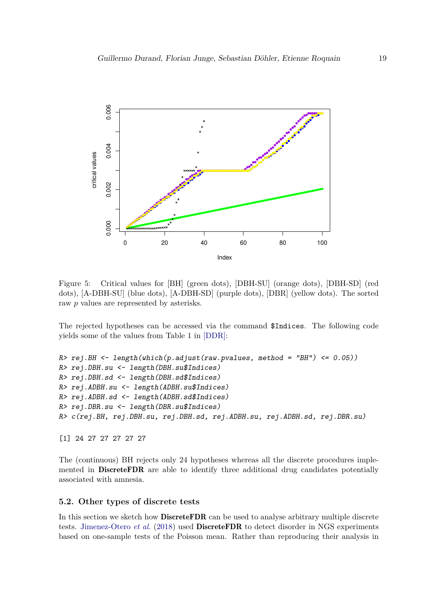

Figure 5: Critical values for [BH] (green dots), [DBH-SU] (orange dots), [DBH-SD] (red dots), [A-DBH-SU] (blue dots), [A-DBH-SD] (purple dots), [DBR] (yellow dots). The sorted raw *p* values are represented by asterisks.

The rejected hypotheses can be accessed via the command \$Indices. The following code yields some of the values from Table 1 in [DDR]:

```
R> rej.BH <- length(which(p.adjust(raw.pvalues, method = "BH") <= 0.05))
R> rej.DBH.su <- length(DBH.su$Indices)
R> rej.DBH.sd <- length(DBH.sd$Indices)
R> rej.ADBH.su <- length(ADBH.su$Indices)
R> rej.ADBH.sd <- length(ADBH.sd$Indices)
R> rej.DBR.su <- length(DBR.su$Indices)
R> c(rej.BH, rej.DBH.su, rej.DBH.sd, rej.ADBH.su, rej.ADBH.sd, rej.DBR.su)
```
[1] 24 27 27 27 27 27

The (continuous) BH rejects only 24 hypotheses whereas all the discrete procedures implemented in DiscreteFDR are able to identify three additional drug candidates potentially associated with amnesia.

#### **5.2. Other types of discrete tests**

In this section we sketch how **DiscreteFDR** can be used to analyse arbitrary multiple discrete tests. Jimenez-Otero *et al.* (2018) used DiscreteFDR to detect disorder in NGS experiments based on one-sample tests of the Poisson mean. Rather than reproducing their analysis in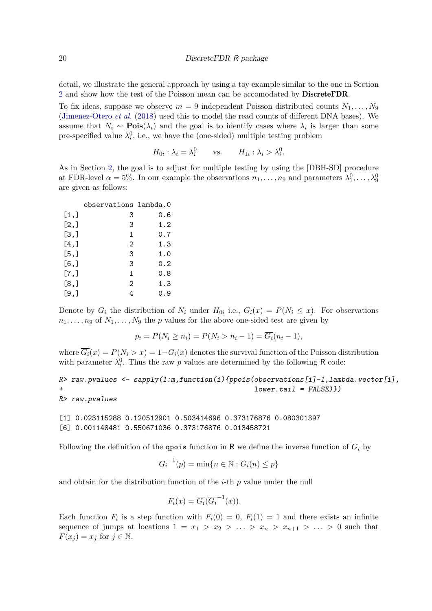detail, we illustrate the general approach by using a toy example similar to the one in Section 2 and show how the test of the Poisson mean can be accomodated by DiscreteFDR.

To fix ideas, suppose we observe  $m = 9$  independent Poisson distributed counts  $N_1, \ldots, N_9$ (Jimenez-Otero *et al.* (2018) used this to model the read counts of different DNA bases). We assume that  $N_i \sim \text{Pois}(\lambda_i)$  and the goal is to identify cases where  $\lambda_i$  is larger than some pre-specified value  $\lambda_i^0$ , i.e., we have the (one-sided) multiple testing problem

$$
H_{0i} : \lambda_i = \lambda_i^0 \qquad \text{vs.} \qquad H_{1i} : \lambda_i > \lambda_i^0.
$$

As in Section 2, the goal is to adjust for multiple testing by using the [DBH-SD] procedure at FDR-level  $\alpha = 5\%$ . In our example the observations  $n_1, \ldots, n_9$  and parameters  $\lambda_1^0, \ldots, \lambda_9^0$ are given as follows:

|         | observations lambda.0 |     |
|---------|-----------------------|-----|
| [1,]    | 3                     | 0.6 |
| [2,]    | 3                     | 1.2 |
| [3,]    | 1                     | 0.7 |
| $[4,$ ] | 2                     | 1.3 |
| [5,]    | 3                     | 1.0 |
| $[6,$ ] | 3                     | 0.2 |
| [7,]    | 1                     | 0.8 |
| [8,]    | 2                     | 1.3 |
| $[9,$ ] | 4                     | 0.9 |

Denote by  $G_i$  the distribution of  $N_i$  under  $H_{0i}$  i.e.,  $G_i(x) = P(N_i \leq x)$ . For observations  $n_1, \ldots, n_9$  of  $N_1, \ldots, N_9$  the *p* values for the above one-sided test are given by

$$
p_i = P(N_i \ge n_i) = P(N_i > n_i - 1) = \overline{G_i}(n_i - 1),
$$

where  $\overline{G_i}(x) = P(N_i > x) = 1 - G_i(x)$  denotes the survival function of the Poisson distribution with parameter  $\lambda_i^0$ . Thus the raw *p* values are determined by the following R code:

```
R> raw.pvalues <- sapply(1:m,function(i){ppois(observations[i]-1,lambda.vector[i],
                                                + lower.tail = FALSE)})
```

```
R> raw.pvalues
```

```
[1] 0.023115288 0.120512901 0.503414696 0.373176876 0.080301397
[6] 0.001148481 0.550671036 0.373176876 0.013458721
```
Following the definition of the **qpois** function in R we define the inverse function of  $\overline{G_i}$  by

$$
\overline{G_i}^{-1}(p) = \min\{n \in \mathbb{N} : \overline{G_i}(n) \le p\}
$$

and obtain for the distribution function of the *i*-th *p* value under the null

$$
F_i(x) = \overline{G_i}(\overline{G_i}^{-1}(x)).
$$

Each function  $F_i$  is a step function with  $F_i(0) = 0$ ,  $F_i(1) = 1$  and there exists an infinite sequence of jumps at locations  $1 = x_1 > x_2 > \ldots > x_n > x_{n+1} > \ldots > 0$  such that  $F(x_i) = x_i$  for  $j \in \mathbb{N}$ .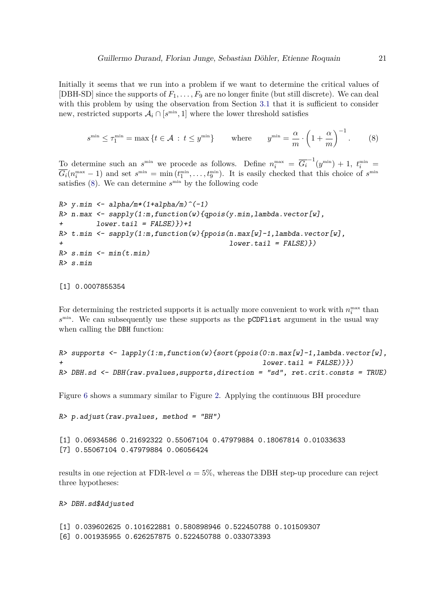Initially it seems that we run into a problem if we want to determine the critical values of [DBH-SD] since the supports of  $F_1, \ldots, F_9$  are no longer finite (but still discrete). We can deal with this problem by using the observation from Section 3.1 that it is sufficient to consider new, restricted supports  $A_i \cap [s^{\text{min}}, 1]$  where the lower threshold satisfies

$$
s^{\min} \le \tau_1^{\min} = \max \left\{ t \in \mathcal{A} \, : \, t \le y^{\min} \right\} \qquad \text{where} \qquad y^{\min} = \frac{\alpha}{m} \cdot \left( 1 + \frac{\alpha}{m} \right)^{-1} . \tag{8}
$$

To determine such an  $s^{\min}$  we procede as follows. Define  $n_i^{\max} = \overline{G_i}^{-1}(y^{\min}) + 1$ ,  $t_i^{\min} =$  $G_i(n_i^{\max} - 1)$  and set  $s^{\min} = \min(t_1^{\min}, \dots, t_9^{\min})$ . It is easily checked that this choice of  $s^{\min}$ satisfies (8). We can determine  $s^{\text{min}}$  by the following code

```
R> y.min <- alpha/m*(1+alpha/m)^(-1)
R> n.max <- sapply(1:m,function(w){qpois(y.min,lambda.vector[w],
+ lower.tail = FALSE)})+1
R> t.min <- sapply(1:m,function(w){ppois(n.max[w]-1,lambda.vector[w],
                                        + lower.tail = FALSE)})
R> s.min <- min(t.min)
R> s.min
```
[1] 0.0007855354

For determining the restricted supports it is actually more convenient to work with  $n_i^{\max}$  than *s* min. We can subsequently use these supports as the pCDFlist argument in the usual way when calling the DBH function:

```
R> supports <- lapply(1:m,function(w){sort(ppois(0:n.max[w]-1,lambda.vector[w],
                                                  + lower.tail = FALSE))})
R> DBH.sd <- DBH(raw.pvalues,supports,direction = "sd", ret.crit.consts = TRUE)
```
Figure 6 shows a summary similar to Figure 2. Applying the continuous BH procedure

*R> p.adjust(raw.pvalues, method = "BH")*

```
[1] 0.06934586 0.21692322 0.55067104 0.47979884 0.18067814 0.01033633
[7] 0.55067104 0.47979884 0.06056424
```
results in one rejection at FDR-level  $\alpha = 5\%$ , whereas the DBH step-up procedure can reject three hypotheses:

*R> DBH.sd\$Adjusted*

[1] 0.039602625 0.101622881 0.580898946 0.522450788 0.101509307 [6] 0.001935955 0.626257875 0.522450788 0.033073393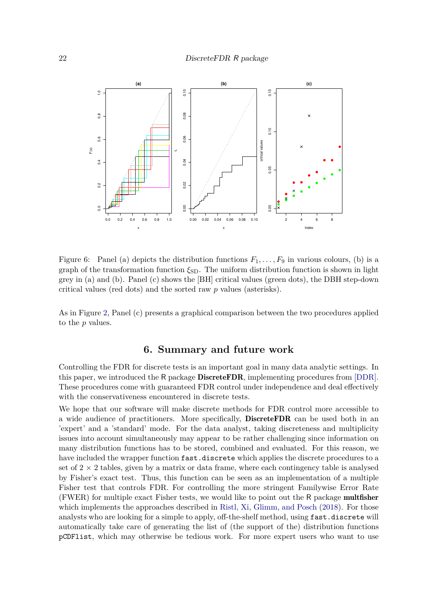

Figure 6: Panel (a) depicts the distribution functions  $F_1, \ldots, F_9$  in various colours, (b) is a graph of the transformation function *ξ*SD. The uniform distribution function is shown in light grey in (a) and (b). Panel (c) shows the [BH] critical values (green dots), the DBH step-down critical values (red dots) and the sorted raw *p* values (asterisks).

As in Figure 2, Panel (c) presents a graphical comparison between the two procedures applied to the *p* values.

### **6. Summary and future work**

Controlling the FDR for discrete tests is an important goal in many data analytic settings. In this paper, we introduced the R package **DiscreteFDR**, implementing procedures from [DDR]. These procedures come with guaranteed FDR control under independence and deal effectively with the conservativeness encountered in discrete tests.

We hope that our software will make discrete methods for FDR control more accessible to a wide audience of practitioners. More specifically, DiscreteFDR can be used both in an 'expert' and a 'standard' mode. For the data analyst, taking discreteness and multiplicity issues into account simultaneously may appear to be rather challenging since information on many distribution functions has to be stored, combined and evaluated. For this reason, we have included the wrapper function fast.discrete which applies the discrete procedures to a set of  $2 \times 2$  tables, given by a matrix or data frame, where each contingency table is analysed by Fisher's exact test. Thus, this function can be seen as an implementation of a multiple Fisher test that controls FDR. For controlling the more stringent Familywise Error Rate (FWER) for multiple exact Fisher tests, we would like to point out the R package multfisher which implements the approaches described in Ristl, Xi, Glimm, and Posch (2018). For those analysts who are looking for a simple to apply, off-the-shelf method, using fast.discrete will automatically take care of generating the list of (the support of the) distribution functions pCDFlist, which may otherwise be tedious work. For more expert users who want to use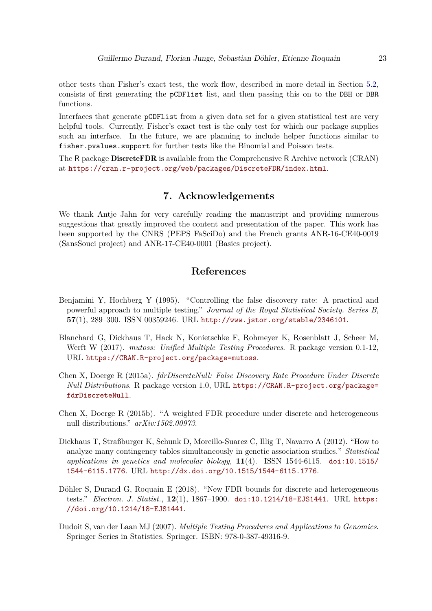other tests than Fisher's exact test, the work flow, described in more detail in Section 5.2, consists of first generating the pCDFlist list, and then passing this on to the DBH or DBR functions.

Interfaces that generate pCDFlist from a given data set for a given statistical test are very helpful tools. Currently, Fisher's exact test is the only test for which our package supplies such an interface. In the future, we are planning to include helper functions similar to fisher.pvalues.support for further tests like the Binomial and Poisson tests.

The R package **DiscreteFDR** is available from the Comprehensive R Archive network (CRAN) at https://cran.r-project.org/web/packages/DiscreteFDR/index.html.

### **7. Acknowledgements**

We thank Antje Jahn for very carefully reading the manuscript and providing numerous suggestions that greatly improved the content and presentation of the paper. This work has been supported by the CNRS (PEPS FaSciDo) and the French grants ANR-16-CE40-0019 (SansSouci project) and ANR-17-CE40-0001 (Basics project).

### **References**

- Benjamini Y, Hochberg Y (1995). "Controlling the false discovery rate: A practical and powerful approach to multiple testing." *Journal of the Royal Statistical Society. Series B*, **57**(1), 289–300. ISSN 00359246. URL http://www.jstor.org/stable/2346101.
- Blanchard G, Dickhaus T, Hack N, Konietschke F, Rohmeyer K, Rosenblatt J, Scheer M, Werft W (2017). *mutoss: Unified Multiple Testing Procedures*. R package version 0.1-12, URL https://CRAN.R-project.org/package=mutoss.
- Chen X, Doerge R (2015a). *fdrDiscreteNull: False Discovery Rate Procedure Under Discrete Null Distributions*. R package version 1.0, URL https://CRAN.R-project.org/package= fdrDiscreteNull.
- Chen X, Doerge R (2015b). "A weighted FDR procedure under discrete and heterogeneous null distributions." *arXiv:1502.00973*.
- Dickhaus T, Straßburger K, Schunk D, Morcillo-Suarez C, Illig T, Navarro A (2012). "How to analyze many contingency tables simultaneously in genetic association studies." *Statistical applications in genetics and molecular biology*, **11**(4). ISSN 1544-6115. doi:10.1515/ 1544-6115.1776. URL http://dx.doi.org/10.1515/1544-6115.1776.
- Döhler S, Durand G, Roquain E (2018). "New FDR bounds for discrete and heterogeneous tests." *Electron. J. Statist.*, **12**(1), 1867–1900. doi:10.1214/18-EJS1441. URL https: //doi.org/10.1214/18-EJS1441.
- Dudoit S, van der Laan MJ (2007). *Multiple Testing Procedures and Applications to Genomics*. Springer Series in Statistics. Springer. ISBN: 978-0-387-49316-9.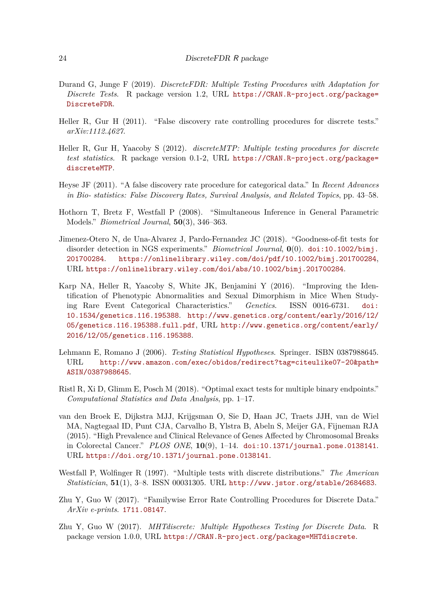- Durand G, Junge F (2019). *DiscreteFDR: Multiple Testing Procedures with Adaptation for Discrete Tests*. R package version 1.2, URL https://CRAN.R-project.org/package= DiscreteFDR.
- Heller R, Gur H (2011). "False discovery rate controlling procedures for discrete tests." *arXiv:1112.4627*.
- Heller R, Gur H, Yaacoby S (2012). *discreteMTP: Multiple testing procedures for discrete test statistics*. R package version 0.1-2, URL https://CRAN.R-project.org/package= discreteMTP.
- Heyse JF (2011). "A false discovery rate procedure for categorical data." In *Recent Advances in Bio- statistics: False Discovery Rates, Survival Analysis, and Related Topics*, pp. 43–58.
- Hothorn T, Bretz F, Westfall P (2008). "Simultaneous Inference in General Parametric Models." *Biometrical Journal*, **50**(3), 346–363.
- Jimenez-Otero N, de Una-Alvarez J, Pardo-Fernandez JC (2018). "Goodness-of-fit tests for disorder detection in NGS experiments." *Biometrical Journal*, **0**(0). doi:10.1002/bimj. 201700284. https://onlinelibrary.wiley.com/doi/pdf/10.1002/bimj.201700284, URL https://onlinelibrary.wiley.com/doi/abs/10.1002/bimj.201700284.
- Karp NA, Heller R, Yaacoby S, White JK, Benjamini Y (2016). "Improving the Identification of Phenotypic Abnormalities and Sexual Dimorphism in Mice When Studying Rare Event Categorical Characteristics." *Genetics*. ISSN 0016-6731. doi: 10.1534/genetics.116.195388. http://www.genetics.org/content/early/2016/12/ 05/genetics.116.195388.full.pdf, URL http://www.genetics.org/content/early/ 2016/12/05/genetics.116.195388.
- Lehmann E, Romano J (2006). *Testing Statistical Hypotheses*. Springer. ISBN 0387988645. URL http://www.amazon.com/exec/obidos/redirect?tag=citeulike07-20&path= ASIN/0387988645.
- Ristl R, Xi D, Glimm E, Posch M (2018). "Optimal exact tests for multiple binary endpoints." *Computational Statistics and Data Analysis*, pp. 1–17.
- van den Broek E, Dijkstra MJJ, Krijgsman O, Sie D, Haan JC, Traets JJH, van de Wiel MA, Nagtegaal ID, Punt CJA, Carvalho B, Ylstra B, Abeln S, Meijer GA, Fijneman RJA (2015). "High Prevalence and Clinical Relevance of Genes Affected by Chromosomal Breaks in Colorectal Cancer." *PLOS ONE*, **10**(9), 1–14. doi:10.1371/journal.pone.0138141. URL https://doi.org/10.1371/journal.pone.0138141.
- Westfall P, Wolfinger R (1997). "Multiple tests with discrete distributions." *The American Statistician*, **51**(1), 3–8. ISSN 00031305. URL http://www.jstor.org/stable/2684683.
- Zhu Y, Guo W (2017). "Familywise Error Rate Controlling Procedures for Discrete Data." *ArXiv e-prints*. 1711.08147.
- Zhu Y, Guo W (2017). *MHTdiscrete: Multiple Hypotheses Testing for Discrete Data*. R package version 1.0.0, URL https://CRAN.R-project.org/package=MHTdiscrete.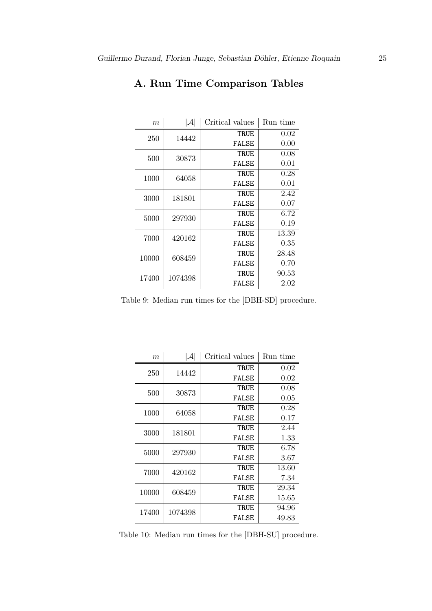| m     | $ \mathcal{A} $ | Critical values | Run time |
|-------|-----------------|-----------------|----------|
| 250   | 14442           | TRUE            | 0.02     |
|       |                 | FALSE           | 0.00     |
| 500   | 30873           | TRUE            | 0.08     |
|       |                 | FALSE           | 0.01     |
| 1000  | 64058           | TRUE            | 0.28     |
|       |                 | FALSE           | 0.01     |
| 3000  | 181801          | TRUE            | 2.42     |
|       |                 | FALSE           | 0.07     |
| 5000  | 297930          | TRUE            | 6.72     |
|       |                 | FALSE           | 0.19     |
| 7000  | 420162          | TRUE            | 13.39    |
|       |                 | FALSE           | 0.35     |
| 10000 | 608459          | TRUE            | 28.48    |
|       |                 | FALSE           | 0.70     |
| 17400 | 1074398         | TRUE            | 90.53    |
|       |                 | FALSE           | $2.02\,$ |

## **A. Run Time Comparison Tables**

Table 9: Median run times for the [DBH-SD] procedure.

| m     | ${\cal A}$ | Critical values | Run time |
|-------|------------|-----------------|----------|
| 250   | 14442      | TRUE            | 0.02     |
|       |            | FALSE           | 0.02     |
| 500   | 30873      | TRUE            | 0.08     |
|       |            | FALSE           | 0.05     |
| 1000  | 64058      | TRUE            | 0.28     |
|       |            | FALSE           | 0.17     |
| 3000  | 181801     | TRUE            | 2.44     |
|       |            | FALSE           | 1.33     |
| 5000  | 297930     | TRUE            | 6.78     |
|       |            | FALSE           | $3.67\,$ |
| 7000  | 420162     | TRUE            | 13.60    |
|       |            | FALSE           | 7.34     |
| 10000 | 608459     | TRUE            | 29.34    |
|       |            | FALSE           | 15.65    |
| 17400 | 1074398    | TRUE            | 94.96    |
|       |            | FALSE           | 49.83    |

Table 10: Median run times for the [DBH-SU] procedure.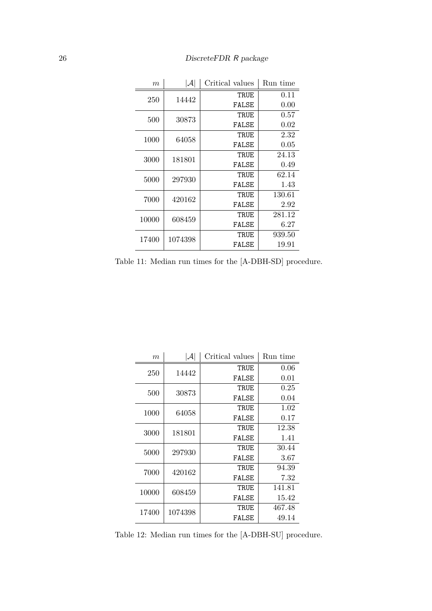| $\boldsymbol{m}$ | $ \mathcal{A} $ | Critical values | Run time |
|------------------|-----------------|-----------------|----------|
| 250              | 14442           | TRUE            | 0.11     |
|                  |                 | FALSE           | 0.00     |
| 500              | 30873           | TRUE            | 0.57     |
|                  |                 | FALSE           | 0.02     |
| 1000             | 64058           | TRUE            | 2.32     |
|                  |                 | FALSE           | $0.05\,$ |
| 3000             | 181801          | TRUE            | 24.13    |
|                  |                 | FALSE           | 0.49     |
| 5000             | 297930          | TRUF.           | 62.14    |
|                  |                 | FALSE           | 1.43     |
| 7000             | 420162          | TRUE            | 130.61   |
|                  |                 | FALSE           | 2.92     |
| 10000            | 608459          | TRUE            | 281.12   |
|                  |                 | FALSE           | 6.27     |
| 17400            | 1074398         | TRUE            | 939.50   |
|                  |                 | FALSE           | 19.91    |

Table 11: Median run times for the [A-DBH-SD] procedure.

| $\boldsymbol{m}$ | $ \mathcal{A} $ | Critical values | Run time |
|------------------|-----------------|-----------------|----------|
| 250              | 14442           | TRUE            | 0.06     |
|                  |                 | FALSE           | 0.01     |
| 500              | 30873           | TRUE            | 0.25     |
|                  |                 | FALSE           | 0.04     |
| 1000             | 64058           | TRUE            | 1.02     |
|                  |                 | FALSE           | 0.17     |
| 3000             | 181801          | TRUE            | 12.38    |
|                  |                 | FALSE           | 1.41     |
| 5000             | 297930          | TRUE            | 30.44    |
|                  |                 | FALSE           | $3.67\,$ |
| 7000             | 420162          | TRUE            | 94.39    |
|                  |                 | FALSE           | 7.32     |
| 10000            | 608459          | TRUE            | 141.81   |
|                  |                 | FALSE           | 15.42    |
| 17400            | 1074398         | TRUE            | 467.48   |
|                  |                 | FALSE           | 49.14    |

Table 12: Median run times for the [A-DBH-SU] procedure.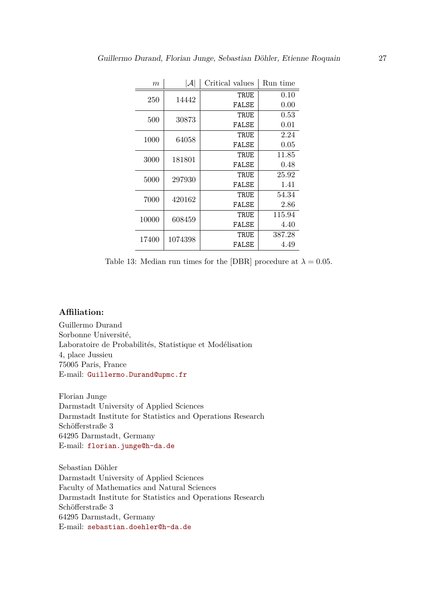| m     | $ \mathcal{A} $ | Critical values | Run time |
|-------|-----------------|-----------------|----------|
| 250   | 14442           | TRUE            | 0.10     |
|       |                 | FALSE           | 0.00     |
| 500   | 30873           | TRUE            | 0.53     |
|       |                 | FALSE           | 0.01     |
| 1000  | 64058           | TRUE            | 2.24     |
|       |                 | FALSE           | 0.05     |
| 3000  | 181801          | TRUE            | 11.85    |
|       |                 | FALSE           | 0.48     |
| 5000  | 297930          | TRUE            | 25.92    |
|       |                 | FALSE           | 1.41     |
| 7000  | 420162          | TRUE            | 54.34    |
|       |                 | FALSE           | 2.86     |
| 10000 | 608459          | TRUE            | 115.94   |
|       |                 | FALSE           | 4.40     |
| 17400 | 1074398         | TRUE            | 387.28   |
|       |                 | FALSE           | 4.49     |

Table 13: Median run times for the [DBR] procedure at  $\lambda = 0.05$ .

### **Affiliation:**

Guillermo Durand Sorbonne Université, Laboratoire de Probabilités, Statistique et Modélisation 4, place Jussieu 75005 Paris, France E-mail: Guillermo.Durand@upmc.fr

Florian Junge Darmstadt University of Applied Sciences Darmstadt Institute for Statistics and Operations Research Schöfferstraße 3 64295 Darmstadt, Germany E-mail: florian.junge@h-da.de

Sebastian Döhler Darmstadt University of Applied Sciences Faculty of Mathematics and Natural Sciences Darmstadt Institute for Statistics and Operations Research Schöfferstraße 3 64295 Darmstadt, Germany E-mail: sebastian.doehler@h-da.de